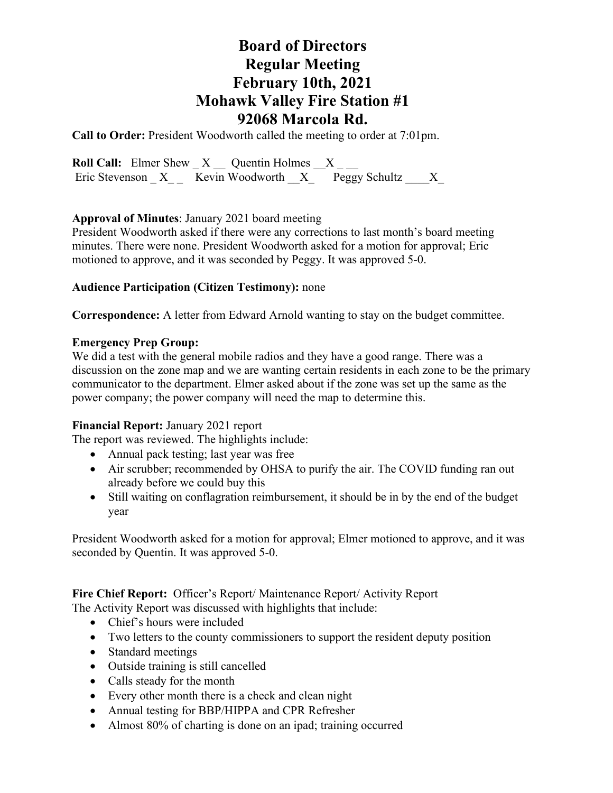## **Board of Directors Regular Meeting February 10th, 2021 Mohawk Valley Fire Station #1 92068 Marcola Rd.**

**Call to Order:** President Woodworth called the meeting to order at 7:01pm.

**Roll Call:** Elmer Shew  $X$   $\_\_$  Quentin Holmes  $\_\_$   $X$   $\_\_$ Eric Stevenson  $X_{--}$  Kevin Woodworth  $X_{--}$  Peggy Schultz  $X_{--}$ 

### **Approval of Minutes**: January 2021 board meeting

President Woodworth asked if there were any corrections to last month's board meeting minutes. There were none. President Woodworth asked for a motion for approval; Eric motioned to approve, and it was seconded by Peggy. It was approved 5-0.

### **Audience Participation (Citizen Testimony):** none

**Correspondence:** A letter from Edward Arnold wanting to stay on the budget committee.

### **Emergency Prep Group:**

We did a test with the general mobile radios and they have a good range. There was a discussion on the zone map and we are wanting certain residents in each zone to be the primary communicator to the department. Elmer asked about if the zone was set up the same as the power company; the power company will need the map to determine this.

## **Financial Report:** January 2021 report

The report was reviewed. The highlights include:

- Annual pack testing; last year was free
- Air scrubber; recommended by OHSA to purify the air. The COVID funding ran out already before we could buy this
- Still waiting on conflagration reimbursement, it should be in by the end of the budget year

President Woodworth asked for a motion for approval; Elmer motioned to approve, and it was seconded by Quentin. It was approved 5-0.

**Fire Chief Report:** Officer's Report/ Maintenance Report/ Activity Report

- The Activity Report was discussed with highlights that include:
	- Chief's hours were included
	- Two letters to the county commissioners to support the resident deputy position
	- Standard meetings
	- Outside training is still cancelled
	- Calls steady for the month
	- Every other month there is a check and clean night
	- Annual testing for BBP/HIPPA and CPR Refresher
	- Almost 80% of charting is done on an ipad; training occurred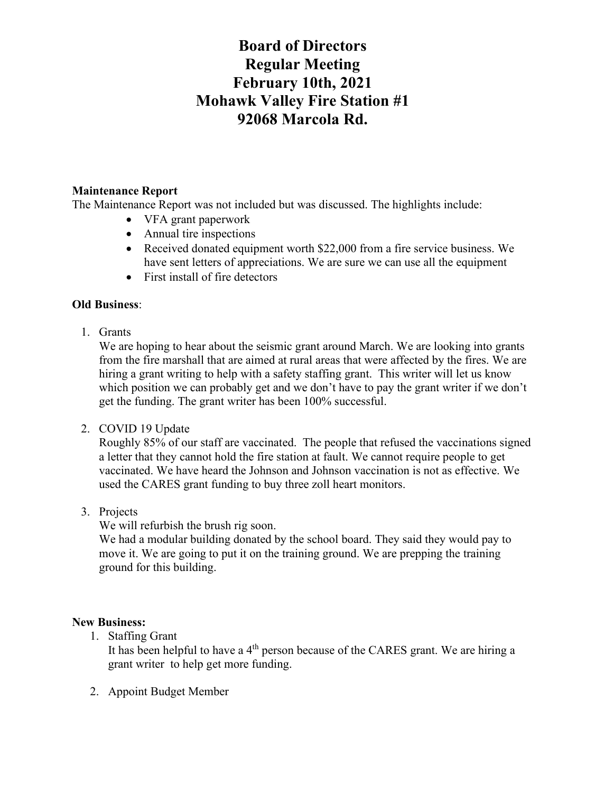# **Board of Directors Regular Meeting February 10th, 2021 Mohawk Valley Fire Station #1 92068 Marcola Rd.**

### **Maintenance Report**

The Maintenance Report was not included but was discussed. The highlights include:

- VFA grant paperwork
- Annual tire inspections
- Received donated equipment worth \$22,000 from a fire service business. We have sent letters of appreciations. We are sure we can use all the equipment
- First install of fire detectors

## **Old Business**:

1. Grants

We are hoping to hear about the seismic grant around March. We are looking into grants from the fire marshall that are aimed at rural areas that were affected by the fires. We are hiring a grant writing to help with a safety staffing grant. This writer will let us know which position we can probably get and we don't have to pay the grant writer if we don't get the funding. The grant writer has been 100% successful.

## 2. COVID 19 Update

Roughly 85% of our staff are vaccinated. The people that refused the vaccinations signed a letter that they cannot hold the fire station at fault. We cannot require people to get vaccinated. We have heard the Johnson and Johnson vaccination is not as effective. We used the CARES grant funding to buy three zoll heart monitors.

3. Projects

We will refurbish the brush rig soon.

We had a modular building donated by the school board. They said they would pay to move it. We are going to put it on the training ground. We are prepping the training ground for this building.

#### **New Business:**

1. Staffing Grant

It has been helpful to have a  $4<sup>th</sup>$  person because of the CARES grant. We are hiring a grant writer to help get more funding.

2. Appoint Budget Member